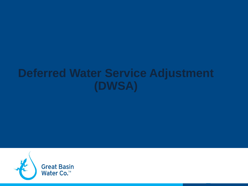# **Deferred Water Service Adjustment (DWSA)**

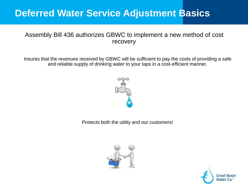#### Assembly Bill 436 authorizes GBWC to implement a new method of cost recovery

Insures that the revenues received by GBWC will be sufficient to pay the costs of providing a safe and reliable supply of drinking water to your taps in a cost-efficient manner.



Protects both the utility and our customers!



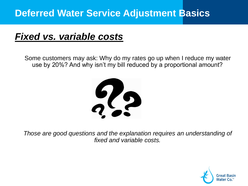# *Fixed vs. variable costs*

Some customers may ask: Why do my rates go up when I reduce my water use by 20%? And why isn't my bill reduced by a proportional amount?



*Those are good questions and the explanation requires an understanding of fixed and variable costs.*

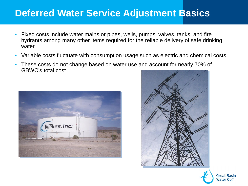- Fixed costs include water mains or pipes, wells, pumps, valves, tanks, and fire hydrants among many other items required for the reliable delivery of safe drinking water.
- Variable costs fluctuate with consumption usage such as electric and chemical costs.
- These costs do not change based on water use and account for nearly 70% of GBWC's total cost.





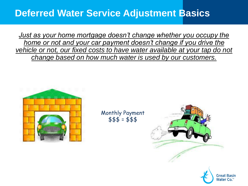*Just as your home mortgage doesn't change whether you occupy the home or not and your car payment doesn't change if you drive the vehicle or not, our fixed costs to have water available at your tap do not change based on how much water is used by our customers.*



Monthly Payment  $$55 = $55$ 



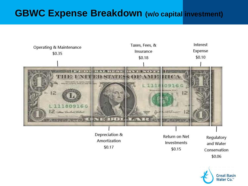#### **GBWC Expense Breakdown (w/o capital investment)**



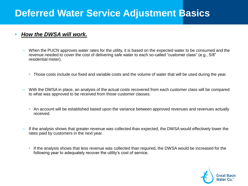#### • *How the DWSA will work.*

- When the PUCN approves water rates for the utility, it is based on the expected water to be consumed and the revenue needed to cover the cost of delivering safe water to each so-called "customer class" (e.g., 5/8" residential meter).
	- Those costs include our fixed and variable costs and the volume of water that will be used during the year.
- With the DWSA in place, an analysis of the actual costs recovered from each customer class will be compared to what was approved to be received from those customer classes.
	- An account will be established based upon the variance between approved revenues and revenues actually received.
- If the analysis shows that greater revenue was collected than expected, the DWSA would effectively lower the rates paid by customers in the next year.
	- If the analysis shows that less revenue was collected than required, the DWSA would be increased for the following year to adequately recover the utility's cost of service.

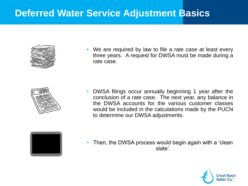

• We are required by law to file a rate case at least every three years. A request for DWSA must be made during a rate case.



• DWSA filings occur annually beginning 1 year after the conclusion of a rate case. The next year, any balance in the DWSA accounts for the various customer classes would be included in the calculations made by the PUCN to determine our DWSA adjustments.



Then, the DWSA process would begin again with a 'clean slate'.

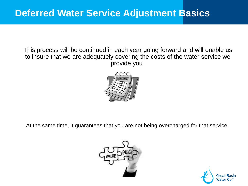This process will be continued in each year going forward and will enable us to insure that we are adequately covering the costs of the water service we provide you.



At the same time, it guarantees that you are not being overcharged for that service.